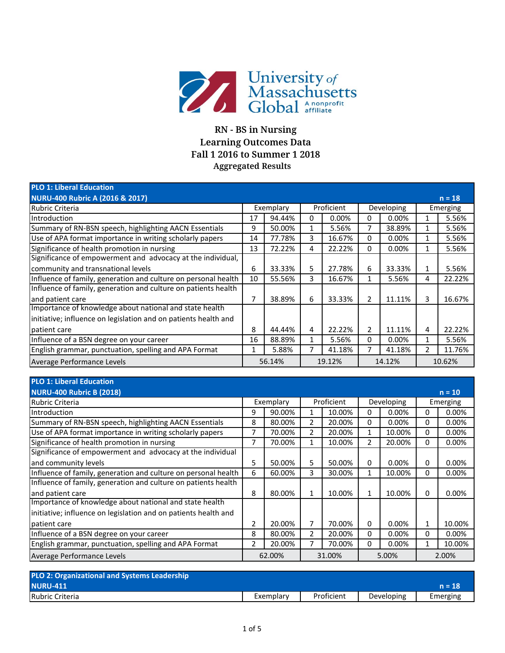

## **RN - BS in Nursing Learning Outcomes Data Fall 1 2016 to Summer 1 2018 Aggregated Results**

| <b>PLO 1: Liberal Education</b>                                 |    |           |   |            |   |            |   |          |
|-----------------------------------------------------------------|----|-----------|---|------------|---|------------|---|----------|
| <b>NURU-400 Rubric A (2016 &amp; 2017)</b>                      |    |           |   |            |   |            |   | $n = 18$ |
| Rubric Criteria                                                 |    | Exemplary |   | Proficient |   | Developing |   | Emerging |
| Introduction                                                    | 17 | 94.44%    | 0 | 0.00%      | 0 | 0.00%      | 1 | 5.56%    |
| Summary of RN-BSN speech, highlighting AACN Essentials          | 9  | 50.00%    | 1 | 5.56%      | 7 | 38.89%     |   | 5.56%    |
| Use of APA format importance in writing scholarly papers        | 14 | 77.78%    | 3 | 16.67%     | 0 | 0.00%      | 1 | 5.56%    |
| Significance of health promotion in nursing                     | 13 | 72.22%    | 4 | 22.22%     | 0 | 0.00%      | 1 | 5.56%    |
| Significance of empowerment and advocacy at the individual,     |    |           |   |            |   |            |   |          |
| community and transnational levels                              | 6  | 33.33%    | 5 | 27.78%     | 6 | 33.33%     | 1 | 5.56%    |
| Influence of family, generation and culture on personal health  | 10 | 55.56%    | 3 | 16.67%     | 1 | 5.56%      | 4 | 22.22%   |
| Influence of family, generation and culture on patients health  |    |           |   |            |   |            |   |          |
| and patient care                                                | 7  | 38.89%    | 6 | 33.33%     | 2 | 11.11%     | 3 | 16.67%   |
| Importance of knowledge about national and state health         |    |           |   |            |   |            |   |          |
| initiative; influence on legislation and on patients health and |    |           |   |            |   |            |   |          |
| patient care                                                    | 8  | 44.44%    | 4 | 22.22%     | 2 | 11.11%     | 4 | 22.22%   |
| Influence of a BSN degree on your career                        | 16 | 88.89%    | 1 | 5.56%      | 0 | 0.00%      | 1 | 5.56%    |
| English grammar, punctuation, spelling and APA Format           | 1  | 5.88%     |   | 41.18%     | 7 | 41.18%     | 2 | 11.76%   |
| Average Performance Levels                                      |    | 56.14%    |   | 19.12%     |   | 14.12%     |   | 10.62%   |

| <b>PLO 1: Liberal Education</b>                                 |                |           |   |            |              |            |              |          |
|-----------------------------------------------------------------|----------------|-----------|---|------------|--------------|------------|--------------|----------|
| <b>NURU-400 Rubric B (2018)</b>                                 |                |           |   |            |              |            |              | $n = 10$ |
| <b>Rubric Criteria</b>                                          |                | Exemplary |   | Proficient |              | Developing |              | Emerging |
| Introduction                                                    | 9              | 90.00%    | 1 | 10.00%     | 0            | $0.00\%$   | 0            | 0.00%    |
| Summary of RN-BSN speech, highlighting AACN Essentials          | 8              | 80.00%    | 2 | 20.00%     | 0            | 0.00%      | 0            | 0.00%    |
| Use of APA format importance in writing scholarly papers        | 7              | 70.00%    | 2 | 20.00%     | 1            | 10.00%     | $\mathbf{0}$ | 0.00%    |
| Significance of health promotion in nursing                     | 7              | 70.00%    | 1 | 10.00%     | 2            | 20.00%     | 0            | $0.00\%$ |
| Significance of empowerment and advocacy at the individual      |                |           |   |            |              |            |              |          |
| and community levels                                            | 5              | 50.00%    | 5 | 50.00%     | 0            | $0.00\%$   | 0            | 0.00%    |
| Influence of family, generation and culture on personal health  | 6              | 60.00%    | 3 | 30.00%     | $\mathbf{1}$ | 10.00%     | 0            | $0.00\%$ |
| Influence of family, generation and culture on patients health  |                |           |   |            |              |            |              |          |
| and patient care                                                | 8              | 80.00%    | 1 | 10.00%     |              | 10.00%     | 0            | 0.00%    |
| Importance of knowledge about national and state health         |                |           |   |            |              |            |              |          |
| initiative; influence on legislation and on patients health and |                |           |   |            |              |            |              |          |
| patient care                                                    | 2              | 20.00%    | 7 | 70.00%     | 0            | $0.00\%$   | 1            | 10.00%   |
| Influence of a BSN degree on your career                        | 8              | 80.00%    | 2 | 20.00%     | 0            | 0.00%      | $\mathbf{0}$ | 0.00%    |
| English grammar, punctuation, spelling and APA Format           | $\overline{2}$ | 20.00%    |   | 70.00%     | 0            | 0.00%      |              | 10.00%   |
| Average Performance Levels                                      |                | 62.00%    |   | 31.00%     |              | 5.00%      |              | 2.00%    |

| <b>PLO 2: Organizational and Systems Leadership</b> |           |            |            |          |
|-----------------------------------------------------|-----------|------------|------------|----------|
| <b>NURU-411</b>                                     |           |            |            | $n = 18$ |
| Rubric Criteria                                     | Exemplary | Proficient | Developing | Emerging |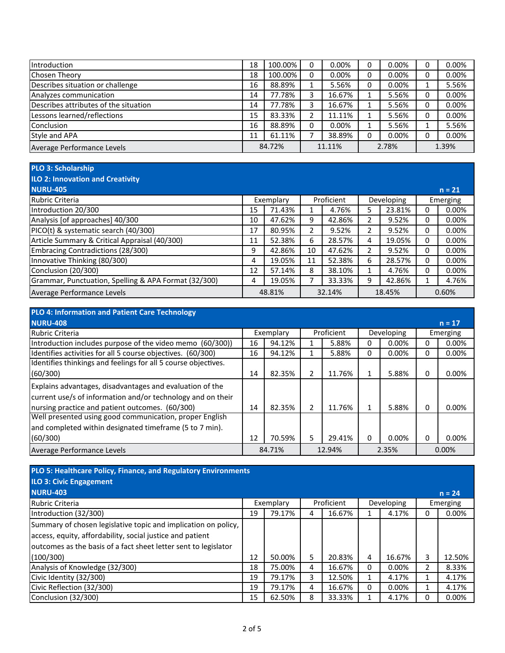| Introduction                          | 18     | 100.00% | 0 | $0.00\%$ |   | $0.00\%$ | 0.00%    |
|---------------------------------------|--------|---------|---|----------|---|----------|----------|
| <b>Chosen Theory</b>                  | 18     | 100.00% | 0 | $0.00\%$ | 0 | $0.00\%$ | 0.00%    |
| Describes situation or challenge      | 16     | 88.89%  |   | 5.56%    |   | $0.00\%$ | 5.56%    |
| Analyzes communication                | 14     | 77.78%  |   | 16.67%   |   | 5.56%    | 0.00%    |
| Describes attributes of the situation | 14     | 77.78%  |   | 16.67%   |   | 5.56%    | $0.00\%$ |
| Lessons learned/reflections           | 15     | 83.33%  |   | 11.11%   |   | 5.56%    | 0.00%    |
| Conclusion                            | 16     | 88.89%  | 0 | $0.00\%$ |   | 5.56%    | 5.56%    |
| Style and APA                         | 11     | 61.11%  |   | 38.89%   |   | $0.00\%$ | 0.00%    |
| Average Performance Levels            | 84.72% |         |   | 11.11%   |   | 2.78%    | 1.39%    |

## **PLO 3: Scholarship**

## **ILO 2: Innovation and Creativity**

| <b>NURU-405</b>                                      |           |        |            |        |            |        |       | $n = 21$ |
|------------------------------------------------------|-----------|--------|------------|--------|------------|--------|-------|----------|
| Rubric Criteria                                      | Exemplary |        | Proficient |        | Developing |        |       | Emerging |
| Introduction 20/300                                  | 15        | 71.43% |            | 4.76%  |            | 23.81% |       | $0.00\%$ |
| Analysis [of approaches] 40/300                      | 10        | 47.62% | 9          | 42.86% |            | 9.52%  | 0     | $0.00\%$ |
| PICO(t) & systematic search (40/300)                 | 17        | 80.95% |            | 9.52%  |            | 9.52%  | 0     | $0.00\%$ |
| Article Summary & Critical Appraisal (40/300)        | 11        | 52.38% | 6          | 28.57% | 4          | 19.05% | 0     | $0.00\%$ |
| Embracing Contradictions (28/300)                    | 9         | 42.86% | 10         | 47.62% |            | 9.52%  | 0     | $0.00\%$ |
| Innovative Thinking (80/300)                         | 4         | 19.05% | 11         | 52.38% | 6.         | 28.57% | 0     | $0.00\%$ |
| Conclusion (20/300)                                  | 12        | 57.14% | 8          | 38.10% |            | 4.76%  | 0     | 0.00%    |
| Grammar, Punctuation, Spelling & APA Format (32/300) | 4         | 19.05% |            | 33.33% | 9          | 42.86% |       | 4.76%    |
| Average Performance Levels                           | 48.81%    |        | 32.14%     |        | 18.45%     |        | 0.60% |          |

| <b>PLO 4: Information and Patient Care Technology</b>          |    |           |                |            |   |            |              |          |
|----------------------------------------------------------------|----|-----------|----------------|------------|---|------------|--------------|----------|
| <b>NURU-408</b>                                                |    |           |                |            |   |            |              | $n = 17$ |
| Rubric Criteria                                                |    | Exemplary |                | Proficient |   | Developing |              | Emerging |
| Introduction includes purpose of the video memo (60/300))      | 16 | 94.12%    |                | 5.88%      | o | $0.00\%$   |              | $0.00\%$ |
| Identifies activities for all 5 course objectives. (60/300)    | 16 | 94.12%    | 1              | 5.88%      | 0 | 0.00%      | 0            | 0.00%    |
| Identifies thinkings and feelings for all 5 course objectives. |    |           |                |            |   |            |              |          |
| (60/300)                                                       | 14 | 82.35%    | 2              | 11.76%     |   | 5.88%      | 0            | 0.00%    |
| Explains advantages, disadvantages and evaluation of the       |    |           |                |            |   |            |              |          |
| current use/s of information and/or technology and on their    |    |           |                |            |   |            |              |          |
| nursing practice and patient outcomes. (60/300)                | 14 | 82.35%    | $\mathfrak{p}$ | 11.76%     |   | 5.88%      | <sup>0</sup> | 0.00%    |
| Well presented using good communication, proper English        |    |           |                |            |   |            |              |          |
| and completed within designated timeframe (5 to 7 min).        |    |           |                |            |   |            |              |          |
| (60/300)                                                       | 12 | 70.59%    | 5              | 29.41%     | 0 | $0.00\%$   | 0            | 0.00%    |
| Average Performance Levels                                     |    | 84.71%    |                | 12.94%     |   | 2.35%      |              | $0.00\%$ |

| PLO 5: Healthcare Policy, Finance, and Regulatory Environments  |    |           |   |            |          |            |   |          |
|-----------------------------------------------------------------|----|-----------|---|------------|----------|------------|---|----------|
| <b>ILO 3: Civic Engagement</b>                                  |    |           |   |            |          |            |   |          |
| <b>NURU-403</b>                                                 |    |           |   |            |          |            |   | $n = 24$ |
| <b>Rubric Criteria</b>                                          |    | Exemplary |   | Proficient |          | Developing |   | Emerging |
| Introduction (32/300)                                           | 19 | 79.17%    | 4 | 16.67%     |          | 4.17%      | N | $0.00\%$ |
| Summary of chosen legislative topic and implication on policy,  |    |           |   |            |          |            |   |          |
| access, equity, affordability, social justice and patient       |    |           |   |            |          |            |   |          |
| outcomes as the basis of a fact sheet letter sent to legislator |    |           |   |            |          |            |   |          |
| (100/300)                                                       | 12 | 50.00%    | 5 | 20.83%     | 4        | 16.67%     | 3 | 12.50%   |
| Analysis of Knowledge (32/300)                                  | 18 | 75.00%    | 4 | 16.67%     | $\Omega$ | $0.00\%$   |   | 8.33%    |
| Civic Identity (32/300)                                         | 19 | 79.17%    | 3 | 12.50%     |          | 4.17%      |   | 4.17%    |
| Civic Reflection (32/300)                                       | 19 | 79.17%    | 4 | 16.67%     | 0        | 0.00%      |   | 4.17%    |
| Conclusion (32/300)                                             | 15 | 62.50%    | 8 | 33.33%     |          | 4.17%      | 0 | 0.00%    |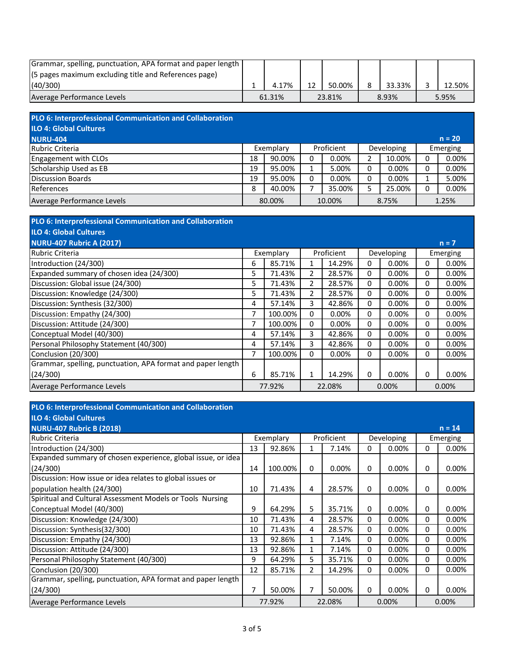| Grammar, spelling, punctuation, APA format and paper length |        |        |        |        |
|-------------------------------------------------------------|--------|--------|--------|--------|
| (5 pages maximum excluding title and References page)       |        |        |        |        |
| (40/300)                                                    | 4.17%  | 50.00% | 33.33% | 12.50% |
| Average Performance Levels                                  | 61.31% | 23.81% | 8.93%  | 5.95%  |

| PLO 6: Interprofessional Communication and Collaboration |    |           |   |            |   |            |   |          |
|----------------------------------------------------------|----|-----------|---|------------|---|------------|---|----------|
| ILO 4: Global Cultures                                   |    |           |   |            |   |            |   |          |
| <b>NURU-404</b>                                          |    |           |   |            |   |            |   | $n = 20$ |
| Rubric Criteria                                          |    | Exemplary |   | Proficient |   | Developing |   | Emerging |
| Engagement with CLOs                                     | 18 | 90.00%    | 0 | $0.00\%$   |   | 10.00%     |   | 0.00%    |
| Scholarship Used as EB                                   | 19 | 95.00%    |   | 5.00%      | 0 | 0.00%      | 0 | 0.00%    |
| Discussion Boards                                        | 19 | 95.00%    | 0 | $0.00\%$   | 0 | 0.00%      |   | 5.00%    |
| References                                               | 8  | 40.00%    |   | 35.00%     |   | 25.00%     |   | 0.00%    |
| Average Performance Levels                               |    | 80.00%    |   | 10.00%     |   | 8.75%      |   | 1.25%    |

| PLO 6: Interprofessional Communication and Collaboration    |    |           |                |            |   |            |   |          |
|-------------------------------------------------------------|----|-----------|----------------|------------|---|------------|---|----------|
| <b>ILO 4: Global Cultures</b>                               |    |           |                |            |   |            |   |          |
| <b>NURU-407 Rubric A (2017)</b>                             |    |           |                |            |   |            |   | $n = 7$  |
| Rubric Criteria                                             |    | Exemplary |                | Proficient |   | Developing |   | Emerging |
| Introduction (24/300)                                       | 6  | 85.71%    |                | 14.29%     | 0 | 0.00%      | 0 | $0.00\%$ |
| Expanded summary of chosen idea (24/300)                    | 5  | 71.43%    | 2              | 28.57%     | 0 | 0.00%      | 0 | $0.00\%$ |
| Discussion: Global issue (24/300)                           | 5. | 71.43%    | 2              | 28.57%     | 0 | $0.00\%$   | 0 | $0.00\%$ |
| Discussion: Knowledge (24/300)                              | 5. | 71.43%    | $\overline{2}$ | 28.57%     | 0 | $0.00\%$   | 0 | $0.00\%$ |
| Discussion: Synthesis (32/300)                              | 4  | 57.14%    | 3              | 42.86%     | 0 | 0.00%      | 0 | 0.00%    |
| Discussion: Empathy (24/300)                                | 7  | 100.00%   | 0              | $0.00\%$   | 0 | 0.00%      | 0 | 0.00%    |
| Discussion: Attitude (24/300)                               | 7  | 100.00%   | 0              | $0.00\%$   | 0 | $0.00\%$   | 0 | 0.00%    |
| Conceptual Model (40/300)                                   | 4  | 57.14%    | 3              | 42.86%     | 0 | 0.00%      | 0 | $0.00\%$ |
| Personal Philosophy Statement (40/300)                      | 4  | 57.14%    | 3              | 42.86%     | 0 | 0.00%      | 0 | $0.00\%$ |
| Conclusion (20/300)                                         | 7  | 100.00%   | 0              | 0.00%      | 0 | $0.00\%$   | 0 | $0.00\%$ |
| Grammar, spelling, punctuation, APA format and paper length |    |           |                |            |   |            |   |          |
| (24/300)                                                    | 6  | 85.71%    | 1              | 14.29%     | 0 | 0.00%      | 0 | 0.00%    |
| Average Performance Levels                                  |    | 77.92%    |                | 22.08%     |   | 0.00%      |   | 0.00%    |

| PLO 6: Interprofessional Communication and Collaboration     |    |           |   |            |   |            |              |          |
|--------------------------------------------------------------|----|-----------|---|------------|---|------------|--------------|----------|
| <b>ILO 4: Global Cultures</b>                                |    |           |   |            |   |            |              |          |
| <b>NURU-407 Rubric B (2018)</b>                              |    |           |   |            |   |            |              | $n = 14$ |
| <b>Rubric Criteria</b>                                       |    | Exemplary |   | Proficient |   | Developing |              | Emerging |
| Introduction (24/300)                                        | 13 | 92.86%    | 1 | 7.14%      | 0 | 0.00%      | 0            | 0.00%    |
| Expanded summary of chosen experience, global issue, or idea |    |           |   |            |   |            |              |          |
| (24/300)                                                     | 14 | 100.00%   | 0 | 0.00%      | 0 | 0.00%      | 0            | 0.00%    |
| Discussion: How issue or idea relates to global issues or    |    |           |   |            |   |            |              |          |
| population health (24/300)                                   | 10 | 71.43%    | 4 | 28.57%     | 0 | $0.00\%$   | 0            | 0.00%    |
| Spiritual and Cultural Assessment Models or Tools Nursing    |    |           |   |            |   |            |              |          |
| Conceptual Model (40/300)                                    | 9  | 64.29%    | 5 | 35.71%     | 0 | 0.00%      | 0            | 0.00%    |
| Discussion: Knowledge (24/300)                               | 10 | 71.43%    | 4 | 28.57%     | 0 | 0.00%      | 0            | 0.00%    |
| Discussion: Synthesis(32/300)                                | 10 | 71.43%    | 4 | 28.57%     | 0 | 0.00%      | 0            | 0.00%    |
| Discussion: Empathy (24/300)                                 | 13 | 92.86%    | 1 | 7.14%      | 0 | 0.00%      | $\mathbf{0}$ | 0.00%    |
| Discussion: Attitude (24/300)                                | 13 | 92.86%    | 1 | 7.14%      | 0 | 0.00%      | 0            | 0.00%    |
| Personal Philosophy Statement (40/300)                       | 9  | 64.29%    | 5 | 35.71%     | 0 | 0.00%      | 0            | 0.00%    |
| Conclusion (20/300)                                          | 12 | 85.71%    | 2 | 14.29%     | 0 | 0.00%      | $\Omega$     | 0.00%    |
| Grammar, spelling, punctuation, APA format and paper length  |    |           |   |            |   |            |              |          |
| (24/300)                                                     | 7  | 50.00%    | 7 | 50.00%     | 0 | 0.00%      | 0            | 0.00%    |
| Average Performance Levels                                   |    | 77.92%    |   | 22.08%     |   | 0.00%      |              | 0.00%    |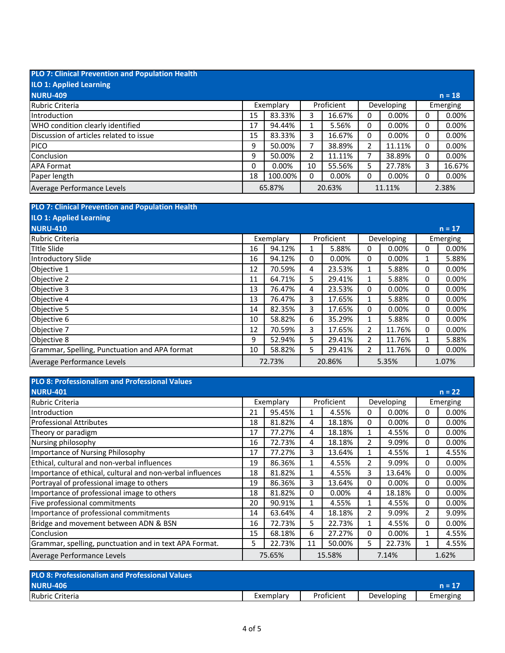| <b>PLO 7: Clinical Prevention and Population Health</b> |    |           |    |            |   |            |   |          |
|---------------------------------------------------------|----|-----------|----|------------|---|------------|---|----------|
| <b>ILO 1: Applied Learning</b>                          |    |           |    |            |   |            |   |          |
| <b>NURU-409</b>                                         |    |           |    |            |   |            |   | $n = 18$ |
| Rubric Criteria                                         |    | Exemplary |    | Proficient |   | Developing |   | Emerging |
| Introduction                                            | 15 | 83.33%    | 3  | 16.67%     | 0 | 0.00%      | 0 | 0.00%    |
| WHO condition clearly identified                        | 17 | 94.44%    |    | 5.56%      | 0 | 0.00%      | 0 | 0.00%    |
| Discussion of articles related to issue                 | 15 | 83.33%    | 3  | 16.67%     | 0 | 0.00%      | 0 | 0.00%    |
| <b>PICO</b>                                             | 9  | 50.00%    |    | 38.89%     | 2 | 11.11%     | 0 | 0.00%    |
| Conclusion                                              | 9  | 50.00%    | 2  | 11.11%     |   | 38.89%     | 0 | 0.00%    |
| <b>APA Format</b>                                       | 0  | 0.00%     | 10 | 55.56%     | 5 | 27.78%     | 3 | 16.67%   |
| Paper length                                            | 18 | 100.00%   | 0  | 0.00%      | 0 | 0.00%      | 0 | 0.00%    |
| Average Performance Levels                              |    | 65.87%    |    | 20.63%     |   | 11.11%     |   | 2.38%    |

| <b>PLO 7: Clinical Prevention and Population Health</b> |           |        |            |          |            |          |          |          |
|---------------------------------------------------------|-----------|--------|------------|----------|------------|----------|----------|----------|
| <b>ILO 1: Applied Learning</b>                          |           |        |            |          |            |          |          |          |
| <b>NURU-410</b>                                         |           |        |            |          |            |          |          | $n = 17$ |
| Rubric Criteria                                         | Exemplary |        | Proficient |          | Developing |          | Emerging |          |
| Title Slide                                             | 16        | 94.12% | 1          | 5.88%    | 0          | 0.00%    | 0        | $0.00\%$ |
| Introductory Slide                                      | 16        | 94.12% | 0          | $0.00\%$ | 0          | $0.00\%$ |          | 5.88%    |
| Objective 1                                             | 12        | 70.59% | 4          | 23.53%   | 1          | 5.88%    | 0        | 0.00%    |
| Objective 2                                             | 11        | 64.71% | 5.         | 29.41%   | 1          | 5.88%    | 0        | 0.00%    |
| Objective 3                                             | 13        | 76.47% | 4          | 23.53%   | 0          | $0.00\%$ | 0        | 0.00%    |
| Objective 4                                             | 13        | 76.47% | 3          | 17.65%   | 1          | 5.88%    | 0        | 0.00%    |
| Objective 5                                             | 14        | 82.35% | 3          | 17.65%   | 0          | 0.00%    | 0        | $0.00\%$ |
| Objective 6                                             | 10        | 58.82% | 6          | 35.29%   | 1          | 5.88%    | 0        | 0.00%    |
| Objective 7                                             | 12        | 70.59% | 3          | 17.65%   | 2          | 11.76%   | 0        | 0.00%    |
| Objective 8                                             | 9         | 52.94% | 5.         | 29.41%   | 2          | 11.76%   | 1        | 5.88%    |
| Grammar, Spelling, Punctuation and APA format           | 10        | 58.82% | 5          | 29.41%   | 2          | 11.76%   | 0        | 0.00%    |
| Average Performance Levels                              |           | 72.73% |            | 20.86%   |            | 5.35%    |          | 1.07%    |

| <b>PLO 8: Professionalism and Professional Values</b>     |           |        |            |          |                |        |          |          |
|-----------------------------------------------------------|-----------|--------|------------|----------|----------------|--------|----------|----------|
| <b>NURU-401</b>                                           |           |        |            |          |                |        |          | $n = 22$ |
| Rubric Criteria                                           | Exemplary |        | Proficient |          | Developing     |        | Emerging |          |
| Introduction                                              | 21        | 95.45% |            | 4.55%    | 0              | 0.00%  | 0        | 0.00%    |
| <b>Professional Attributes</b>                            | 18        | 81.82% | 4          | 18.18%   | 0              | 0.00%  | 0        | $0.00\%$ |
| Theory or paradigm                                        | 17        | 77.27% | 4          | 18.18%   |                | 4.55%  | 0        | 0.00%    |
| Nursing philosophy                                        | 16        | 72.73% | 4          | 18.18%   | $\overline{2}$ | 9.09%  | 0        | $0.00\%$ |
| Importance of Nursing Philosophy                          | 17        | 77.27% | 3          | 13.64%   | 1              | 4.55%  |          | 4.55%    |
| Ethical, cultural and non-verbal influences               | 19        | 86.36% | 1          | 4.55%    | 2              | 9.09%  | 0        | $0.00\%$ |
| Importance of ethical, cultural and non-verbal influences | 18        | 81.82% |            | 4.55%    | 3              | 13.64% | 0        | $0.00\%$ |
| Portrayal of professional image to others                 | 19        | 86.36% | 3          | 13.64%   | 0              | 0.00%  | 0        | $0.00\%$ |
| Importance of professional image to others                | 18        | 81.82% | 0          | $0.00\%$ | 4              | 18.18% | 0        | $0.00\%$ |
| Five professional commitments                             | 20        | 90.91% | 1          | 4.55%    | 1              | 4.55%  | 0        | 0.00%    |
| Importance of professional commitments                    | 14        | 63.64% | 4          | 18.18%   | 2              | 9.09%  | 2        | 9.09%    |
| Bridge and movement between ADN & BSN                     | 16        | 72.73% | 5          | 22.73%   |                | 4.55%  | 0        | $0.00\%$ |
| Conclusion                                                | 15        | 68.18% | 6          | 27.27%   | 0              | 0.00%  |          | 4.55%    |
| Grammar, spelling, punctuation and in text APA Format.    | 5.        | 22.73% | 11         | 50.00%   | 5              | 22.73% |          | 4.55%    |
| Average Performance Levels                                | 75.65%    |        | 15.58%     |          | 7.14%          |        | 1.62%    |          |

| <b>PLO 8: Professionalism and Professional Values</b> |           |            |            |          |  |  |  |  |  |
|-------------------------------------------------------|-----------|------------|------------|----------|--|--|--|--|--|
| <b>NURU-406</b>                                       |           |            |            | $n = 17$ |  |  |  |  |  |
| Rubric Criteria                                       | Exemplary | Proficient | Developing | Emerging |  |  |  |  |  |